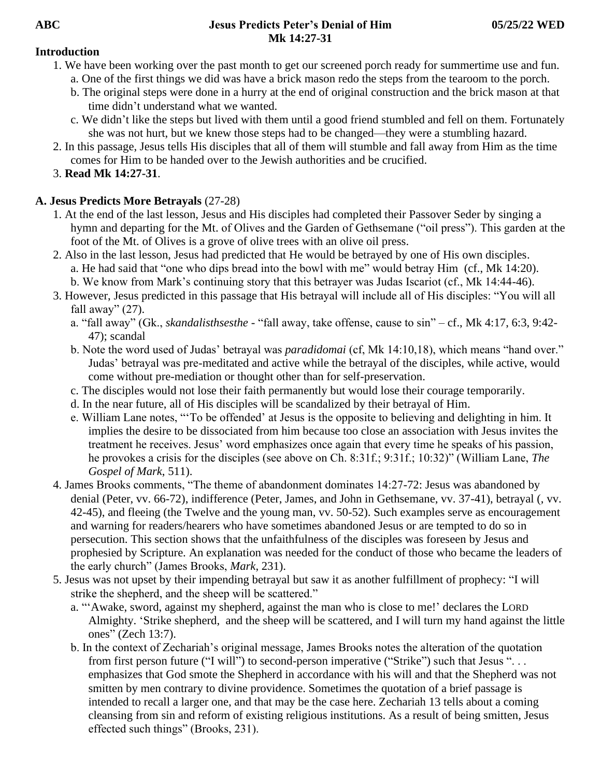#### **ABC Jesus Predicts Peter's Denial of Him 05/25/22 WED Mk 14:27-31**

#### **Introduction**

- 1. We have been working over the past month to get our screened porch ready for summertime use and fun.
	- a. One of the first things we did was have a brick mason redo the steps from the tearoom to the porch.
	- b. The original steps were done in a hurry at the end of original construction and the brick mason at that time didn't understand what we wanted.
	- c. We didn't like the steps but lived with them until a good friend stumbled and fell on them. Fortunately she was not hurt, but we knew those steps had to be changed—they were a stumbling hazard.
- 2. In this passage, Jesus tells His disciples that all of them will stumble and fall away from Him as the time comes for Him to be handed over to the Jewish authorities and be crucified.
- 3. **Read Mk 14:27-31**.

## **A. Jesus Predicts More Betrayals** (27-28)

- 1. At the end of the last lesson, Jesus and His disciples had completed their Passover Seder by singing a hymn and departing for the Mt. of Olives and the Garden of Gethsemane ("oil press"). This garden at the foot of the Mt. of Olives is a grove of olive trees with an olive oil press.
- 2. Also in the last lesson, Jesus had predicted that He would be betrayed by one of His own disciples. a. He had said that "one who dips bread into the bowl with me" would betray Him (cf., Mk 14:20). b. We know from Mark's continuing story that this betrayer was Judas Iscariot (cf., Mk 14:44-46).
- 3. However, Jesus predicted in this passage that His betrayal will include all of His disciples: "You will all fall away"  $(27)$ .
	- a. "fall away" (Gk., *skandalisthsesthe* "fall away, take offense, cause to sin" cf., Mk 4:17, 6:3, 9:42- 47); scandal
	- b. Note the word used of Judas' betrayal was *paradidomai* (cf, Mk 14:10,18), which means "hand over." Judas' betrayal was pre-meditated and active while the betrayal of the disciples, while active, would come without pre-mediation or thought other than for self-preservation.
	- c. The disciples would not lose their faith permanently but would lose their courage temporarily.
	- d. In the near future, all of His disciples will be scandalized by their betrayal of Him.
	- e. William Lane notes, "'To be offended' at Jesus is the opposite to believing and delighting in him. It implies the desire to be dissociated from him because too close an association with Jesus invites the treatment he receives. Jesus' word emphasizes once again that every time he speaks of his passion, he provokes a crisis for the disciples (see above on Ch. 8:31f.; 9:31f.; 10:32)" (William Lane, *The Gospel of Mark*, 511).
- 4. James Brooks comments, "The theme of abandonment dominates 14:27-72: Jesus was abandoned by denial (Peter, vv. 66-72), indifference (Peter, James, and John in Gethsemane, vv. 37-41), betrayal (, vv. 42-45), and fleeing (the Twelve and the young man, vv. 50-52). Such examples serve as encouragement and warning for readers/hearers who have sometimes abandoned Jesus or are tempted to do so in persecution. This section shows that the unfaithfulness of the disciples was foreseen by Jesus and prophesied by Scripture. An explanation was needed for the conduct of those who became the leaders of the early church" (James Brooks, *Mark*, 231).
- 5. Jesus was not upset by their impending betrayal but saw it as another fulfillment of prophecy: "I will strike the shepherd, and the sheep will be scattered."
	- a. "'Awake, sword, against my shepherd, against the man who is close to me!' declares the LORD Almighty. 'Strike shepherd, and the sheep will be scattered, and I will turn my hand against the little ones" (Zech 13:7).
	- b. In the context of Zechariah's original message, James Brooks notes the alteration of the quotation from first person future ("I will") to second-person imperative ("Strike") such that Jesus "... emphasizes that God smote the Shepherd in accordance with his will and that the Shepherd was not smitten by men contrary to divine providence. Sometimes the quotation of a brief passage is intended to recall a larger one, and that may be the case here. Zechariah 13 tells about a coming cleansing from sin and reform of existing religious institutions. As a result of being smitten, Jesus effected such things" (Brooks, 231).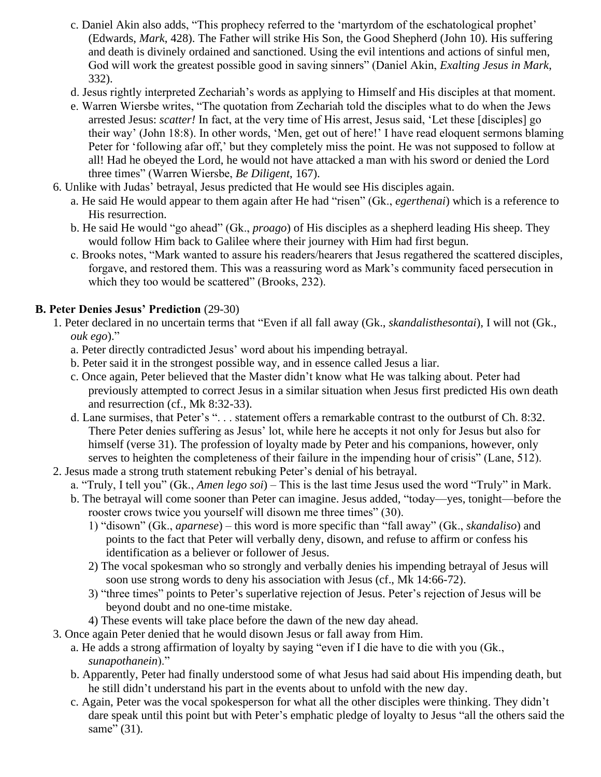- c. Daniel Akin also adds, "This prophecy referred to the 'martyrdom of the eschatological prophet' (Edwards, *Mark*, 428). The Father will strike His Son, the Good Shepherd (John 10). His suffering and death is divinely ordained and sanctioned. Using the evil intentions and actions of sinful men, God will work the greatest possible good in saving sinners" (Daniel Akin, *Exalting Jesus in Mark*, 332).
- d. Jesus rightly interpreted Zechariah's words as applying to Himself and His disciples at that moment.
- e. Warren Wiersbe writes, "The quotation from Zechariah told the disciples what to do when the Jews arrested Jesus: *scatter!* In fact, at the very time of His arrest, Jesus said, 'Let these [disciples] go their way' (John 18:8). In other words, 'Men, get out of here!' I have read eloquent sermons blaming Peter for 'following afar off,' but they completely miss the point. He was not supposed to follow at all! Had he obeyed the Lord, he would not have attacked a man with his sword or denied the Lord three times" (Warren Wiersbe, *Be Diligent*, 167).
- 6. Unlike with Judas' betrayal, Jesus predicted that He would see His disciples again.
	- a. He said He would appear to them again after He had "risen" (Gk., *egerthenai*) which is a reference to His resurrection.
	- b. He said He would "go ahead" (Gk., *proago*) of His disciples as a shepherd leading His sheep. They would follow Him back to Galilee where their journey with Him had first begun.
	- c. Brooks notes, "Mark wanted to assure his readers/hearers that Jesus regathered the scattered disciples, forgave, and restored them. This was a reassuring word as Mark's community faced persecution in which they too would be scattered" (Brooks, 232).

## **B. Peter Denies Jesus' Prediction** (29-30)

- 1. Peter declared in no uncertain terms that "Even if all fall away (Gk., *skandalisthesontai*), I will not (Gk., *ouk ego*)."
	- a. Peter directly contradicted Jesus' word about his impending betrayal.
	- b. Peter said it in the strongest possible way, and in essence called Jesus a liar.
	- c. Once again, Peter believed that the Master didn't know what He was talking about. Peter had previously attempted to correct Jesus in a similar situation when Jesus first predicted His own death and resurrection (cf., Mk 8:32-33).
	- d. Lane surmises, that Peter's ". . . statement offers a remarkable contrast to the outburst of Ch. 8:32. There Peter denies suffering as Jesus' lot, while here he accepts it not only for Jesus but also for himself (verse 31). The profession of loyalty made by Peter and his companions, however, only serves to heighten the completeness of their failure in the impending hour of crisis" (Lane, 512).
- 2. Jesus made a strong truth statement rebuking Peter's denial of his betrayal.
	- a. "Truly, I tell you" (Gk., *Amen lego soi*) This is the last time Jesus used the word "Truly" in Mark.
	- b. The betrayal will come sooner than Peter can imagine. Jesus added, "today—yes, tonight—before the rooster crows twice you yourself will disown me three times" (30).
		- 1) "disown" (Gk., *aparnese*) this word is more specific than "fall away" (Gk., *skandaliso*) and points to the fact that Peter will verbally deny, disown, and refuse to affirm or confess his identification as a believer or follower of Jesus.
		- 2) The vocal spokesman who so strongly and verbally denies his impending betrayal of Jesus will soon use strong words to deny his association with Jesus (cf., Mk 14:66-72).
		- 3) "three times" points to Peter's superlative rejection of Jesus. Peter's rejection of Jesus will be beyond doubt and no one-time mistake.
		- 4) These events will take place before the dawn of the new day ahead.
- 3. Once again Peter denied that he would disown Jesus or fall away from Him.
	- a. He adds a strong affirmation of loyalty by saying "even if I die have to die with you (Gk., *sunapothanein*)."
	- b. Apparently, Peter had finally understood some of what Jesus had said about His impending death, but he still didn't understand his part in the events about to unfold with the new day.
	- c. Again, Peter was the vocal spokesperson for what all the other disciples were thinking. They didn't dare speak until this point but with Peter's emphatic pledge of loyalty to Jesus "all the others said the same" (31).